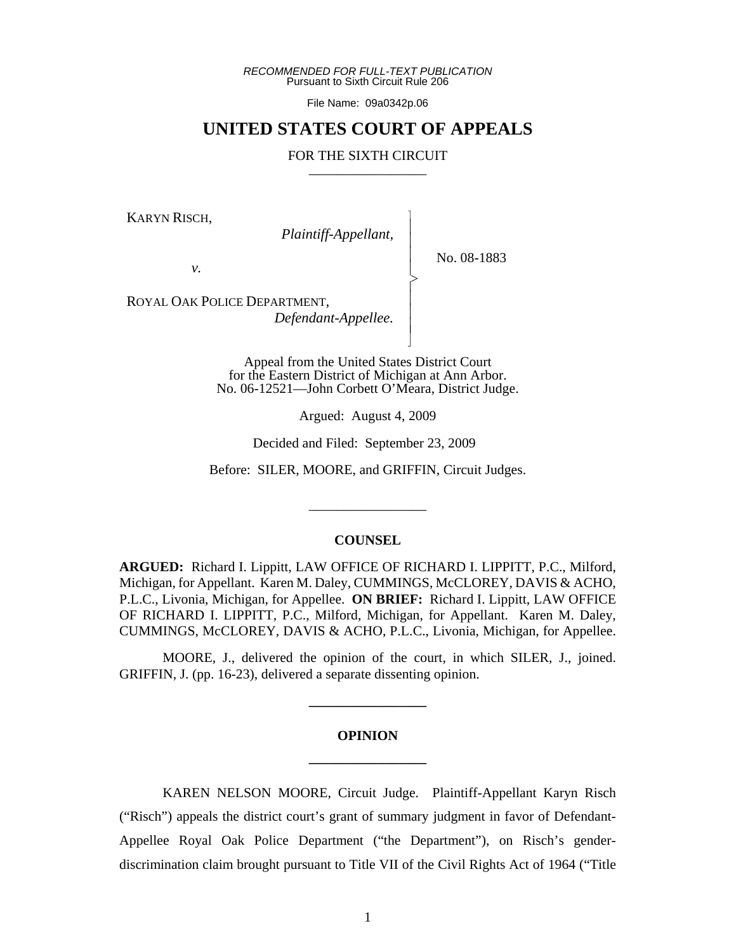*RECOMMENDED FOR FULL-TEXT PUBLICATION* Pursuant to Sixth Circuit Rule 206

File Name: 09a0342p.06

# **UNITED STATES COURT OF APPEALS**

### FOR THE SIXTH CIRCUIT

 $\overline{\phantom{a}}$ - - - > , - - - N

KARYN RISCH,

 *Plaintiff-Appellant,*

No. 08-1883

*v.*

ROYAL OAK POLICE DEPARTMENT,  *Defendant-Appellee.*

> Appeal from the United States District Court for the Eastern District of Michigan at Ann Arbor. No. 06-12521—John Corbett O'Meara, District Judge.

> > Argued: August 4, 2009

Decided and Filed: September 23, 2009

Before: SILER, MOORE, and GRIFFIN, Circuit Judges.

\_\_\_\_\_\_\_\_\_\_\_\_\_\_\_\_\_

#### **COUNSEL**

**ARGUED:** Richard I. Lippitt, LAW OFFICE OF RICHARD I. LIPPITT, P.C., Milford, Michigan, for Appellant. Karen M. Daley, CUMMINGS, McCLOREY, DAVIS & ACHO, P.L.C., Livonia, Michigan, for Appellee. **ON BRIEF:** Richard I. Lippitt, LAW OFFICE OF RICHARD I. LIPPITT, P.C., Milford, Michigan, for Appellant. Karen M. Daley, CUMMINGS, McCLOREY, DAVIS & ACHO, P.L.C., Livonia, Michigan, for Appellee.

MOORE, J., delivered the opinion of the court, in which SILER, J., joined. GRIFFIN, J. (pp. 16-23), delivered a separate dissenting opinion.

**\_\_\_\_\_\_\_\_\_\_\_\_\_\_\_\_\_**

# **OPINION \_\_\_\_\_\_\_\_\_\_\_\_\_\_\_\_\_**

KAREN NELSON MOORE, Circuit Judge. Plaintiff-Appellant Karyn Risch ("Risch") appeals the district court's grant of summary judgment in favor of Defendant-Appellee Royal Oak Police Department ("the Department"), on Risch's genderdiscrimination claim brought pursuant to Title VII of the Civil Rights Act of 1964 ("Title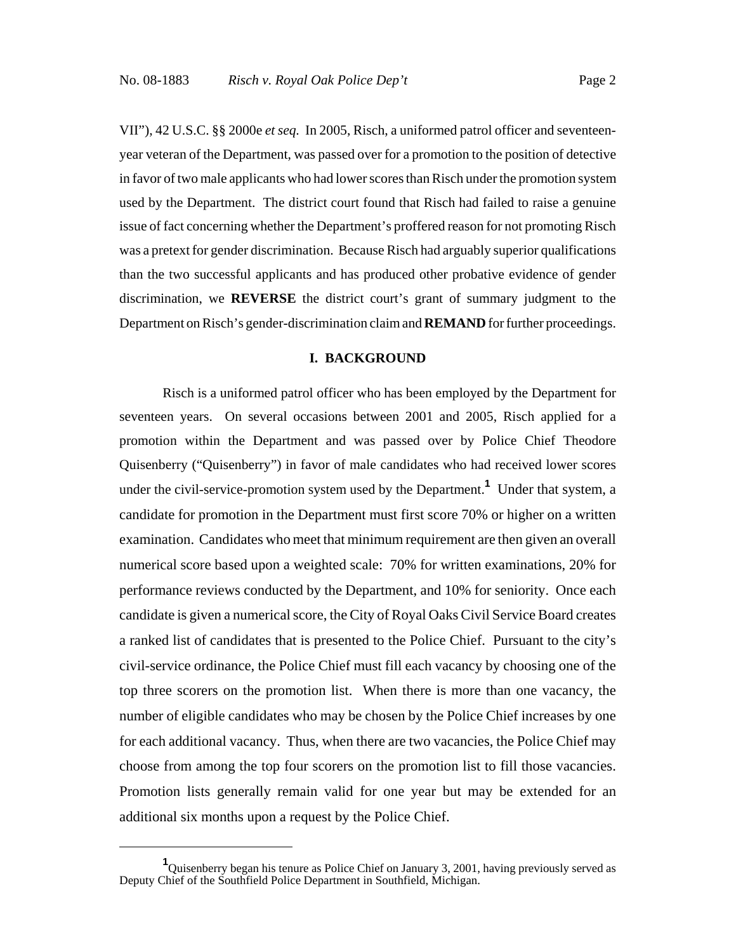VII"), 42 U.S.C. §§ 2000e *et seq.* In 2005, Risch, a uniformed patrol officer and seventeenyear veteran of the Department, was passed over for a promotion to the position of detective in favor of two male applicants who had lower scores than Risch under the promotion system used by the Department. The district court found that Risch had failed to raise a genuine issue of fact concerning whether the Department's proffered reason for not promoting Risch was a pretext for gender discrimination. Because Risch had arguably superior qualifications than the two successful applicants and has produced other probative evidence of gender discrimination, we **REVERSE** the district court's grant of summary judgment to the Department on Risch's gender-discrimination claim and **REMAND** for further proceedings.

### **I. BACKGROUND**

Risch is a uniformed patrol officer who has been employed by the Department for seventeen years. On several occasions between 2001 and 2005, Risch applied for a promotion within the Department and was passed over by Police Chief Theodore Quisenberry ("Quisenberry") in favor of male candidates who had received lower scores under the civil-service-promotion system used by the Department.**<sup>1</sup>** Under that system, a candidate for promotion in the Department must first score 70% or higher on a written examination. Candidates who meet that minimum requirement are then given an overall numerical score based upon a weighted scale: 70% for written examinations, 20% for performance reviews conducted by the Department, and 10% for seniority. Once each candidate is given a numerical score, the City of Royal Oaks Civil Service Board creates a ranked list of candidates that is presented to the Police Chief. Pursuant to the city's civil-service ordinance, the Police Chief must fill each vacancy by choosing one of the top three scorers on the promotion list. When there is more than one vacancy, the number of eligible candidates who may be chosen by the Police Chief increases by one for each additional vacancy. Thus, when there are two vacancies, the Police Chief may choose from among the top four scorers on the promotion list to fill those vacancies. Promotion lists generally remain valid for one year but may be extended for an additional six months upon a request by the Police Chief.

**<sup>1</sup>** Quisenberry began his tenure as Police Chief on January 3, 2001, having previously served as Deputy Chief of the Southfield Police Department in Southfield, Michigan.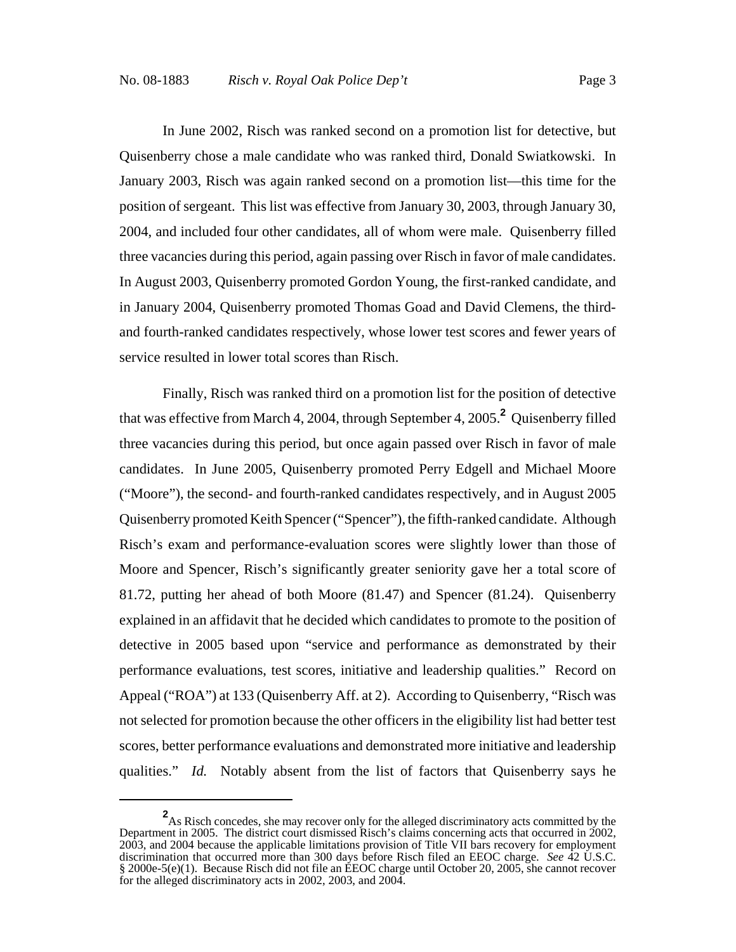In June 2002, Risch was ranked second on a promotion list for detective, but Quisenberry chose a male candidate who was ranked third, Donald Swiatkowski. In January 2003, Risch was again ranked second on a promotion list—this time for the position of sergeant. This list was effective from January 30, 2003, through January 30, 2004, and included four other candidates, all of whom were male. Quisenberry filled three vacancies during this period, again passing over Risch in favor of male candidates. In August 2003, Quisenberry promoted Gordon Young, the first-ranked candidate, and in January 2004, Quisenberry promoted Thomas Goad and David Clemens, the thirdand fourth-ranked candidates respectively, whose lower test scores and fewer years of service resulted in lower total scores than Risch.

Finally, Risch was ranked third on a promotion list for the position of detective that was effective from March 4, 2004, through September 4, 2005.**<sup>2</sup>** Quisenberry filled three vacancies during this period, but once again passed over Risch in favor of male candidates. In June 2005, Quisenberry promoted Perry Edgell and Michael Moore ("Moore"), the second- and fourth-ranked candidates respectively, and in August 2005 Quisenberry promoted Keith Spencer ("Spencer"), the fifth-ranked candidate. Although Risch's exam and performance-evaluation scores were slightly lower than those of Moore and Spencer, Risch's significantly greater seniority gave her a total score of 81.72, putting her ahead of both Moore (81.47) and Spencer (81.24). Quisenberry explained in an affidavit that he decided which candidates to promote to the position of detective in 2005 based upon "service and performance as demonstrated by their performance evaluations, test scores, initiative and leadership qualities." Record on Appeal ("ROA") at 133 (Quisenberry Aff. at 2). According to Quisenberry, "Risch was not selected for promotion because the other officers in the eligibility list had better test scores, better performance evaluations and demonstrated more initiative and leadership qualities." *Id.* Notably absent from the list of factors that Quisenberry says he

<sup>&</sup>lt;sup>2</sup>As Risch concedes, she may recover only for the alleged discriminatory acts committed by the Department in 2005. The district court dismissed Risch's claims concerning acts that occurred in 2002, 2003, and 2004 because the applicable limitations provision of Title VII bars recovery for employment discrimination that occurred more than 300 days before Risch filed an EEOC charge. *See* 42 U.S.C. § 2000e-5(e)(1). Because Risch did not file an EEOC charge until October 20, 2005, she cannot recover for the alleged discriminatory acts in 2002, 2003, and 2004.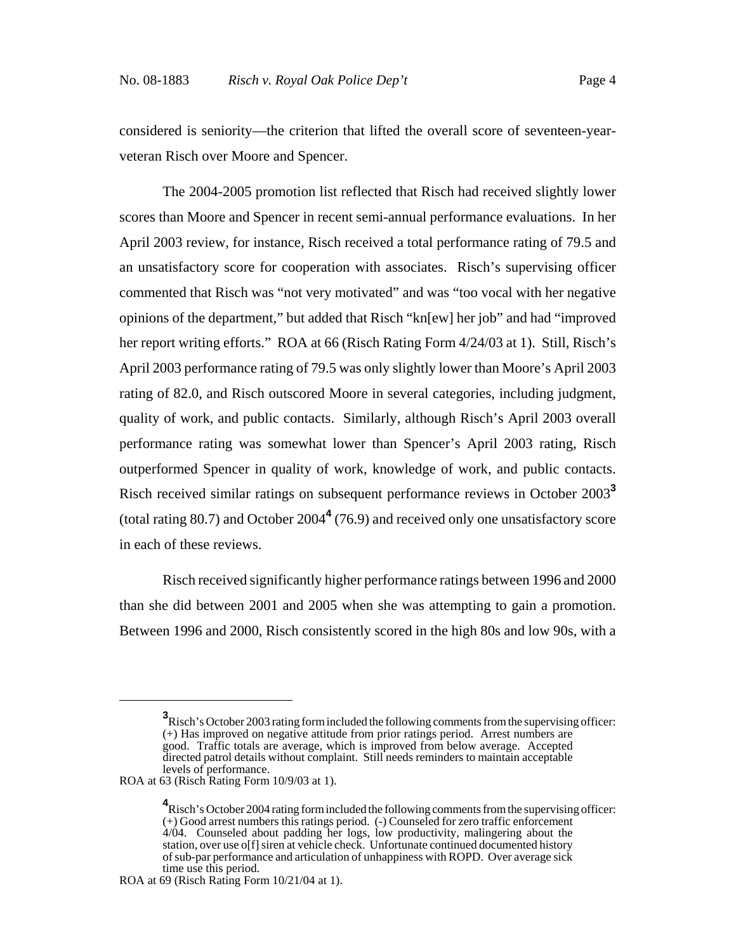considered is seniority—the criterion that lifted the overall score of seventeen-yearveteran Risch over Moore and Spencer.

The 2004-2005 promotion list reflected that Risch had received slightly lower scores than Moore and Spencer in recent semi-annual performance evaluations. In her April 2003 review, for instance, Risch received a total performance rating of 79.5 and an unsatisfactory score for cooperation with associates. Risch's supervising officer commented that Risch was "not very motivated" and was "too vocal with her negative opinions of the department," but added that Risch "kn[ew] her job" and had "improved her report writing efforts." ROA at 66 (Risch Rating Form 4/24/03 at 1). Still, Risch's April 2003 performance rating of 79.5 was only slightly lower than Moore's April 2003 rating of 82.0, and Risch outscored Moore in several categories, including judgment, quality of work, and public contacts. Similarly, although Risch's April 2003 overall performance rating was somewhat lower than Spencer's April 2003 rating, Risch outperformed Spencer in quality of work, knowledge of work, and public contacts. Risch received similar ratings on subsequent performance reviews in October 2003**<sup>3</sup>** (total rating 80.7) and October 2004**<sup>4</sup>** (76.9) and received only one unsatisfactory score in each of these reviews.

Risch received significantly higher performance ratings between 1996 and 2000 than she did between 2001 and 2005 when she was attempting to gain a promotion. Between 1996 and 2000, Risch consistently scored in the high 80s and low 90s, with a

**<sup>3</sup>** Risch's October 2003 rating form included the following comments from the supervising officer: (+) Has improved on negative attitude from prior ratings period. Arrest numbers are good. Traffic totals are average, which is improved from below average. Accepted directed patrol details without complaint. Still needs reminders to maintain acceptable levels of performance.

ROA at 63 (Risch Rating Form 10/9/03 at 1).

**<sup>4</sup>** Risch's October 2004 rating form included the following comments from the supervising officer: (+) Good arrest numbers this ratings period. (-) Counseled for zero traffic enforcement 4/04. Counseled about padding her logs, low productivity, malingering about the station, over use o[f] siren at vehicle check. Unfortunate continued documented history of sub-par performance and articulation of unhappiness with ROPD. Over average sick time use this period.

ROA at 69 (Risch Rating Form 10/21/04 at 1).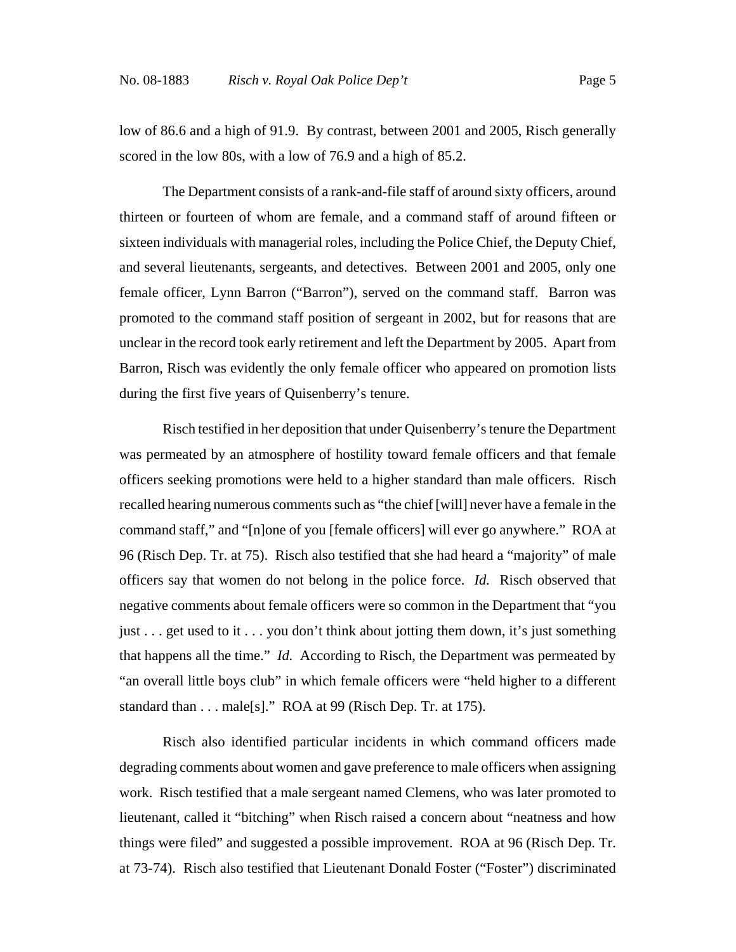low of 86.6 and a high of 91.9. By contrast, between 2001 and 2005, Risch generally scored in the low 80s, with a low of 76.9 and a high of 85.2.

The Department consists of a rank-and-file staff of around sixty officers, around thirteen or fourteen of whom are female, and a command staff of around fifteen or sixteen individuals with managerial roles, including the Police Chief, the Deputy Chief, and several lieutenants, sergeants, and detectives. Between 2001 and 2005, only one female officer, Lynn Barron ("Barron"), served on the command staff. Barron was promoted to the command staff position of sergeant in 2002, but for reasons that are unclear in the record took early retirement and left the Department by 2005. Apart from Barron, Risch was evidently the only female officer who appeared on promotion lists during the first five years of Quisenberry's tenure.

Risch testified in her deposition that under Quisenberry's tenure the Department was permeated by an atmosphere of hostility toward female officers and that female officers seeking promotions were held to a higher standard than male officers. Risch recalled hearing numerous comments such as "the chief [will] never have a female in the command staff," and "[n]one of you [female officers] will ever go anywhere." ROA at 96 (Risch Dep. Tr. at 75). Risch also testified that she had heard a "majority" of male officers say that women do not belong in the police force. *Id.* Risch observed that negative comments about female officers were so common in the Department that "you just . . . get used to it . . . you don't think about jotting them down, it's just something that happens all the time." *Id.* According to Risch, the Department was permeated by "an overall little boys club" in which female officers were "held higher to a different standard than . . . male[s]." ROA at 99 (Risch Dep. Tr. at 175).

Risch also identified particular incidents in which command officers made degrading comments about women and gave preference to male officers when assigning work. Risch testified that a male sergeant named Clemens, who was later promoted to lieutenant, called it "bitching" when Risch raised a concern about "neatness and how things were filed" and suggested a possible improvement. ROA at 96 (Risch Dep. Tr. at 73-74). Risch also testified that Lieutenant Donald Foster ("Foster") discriminated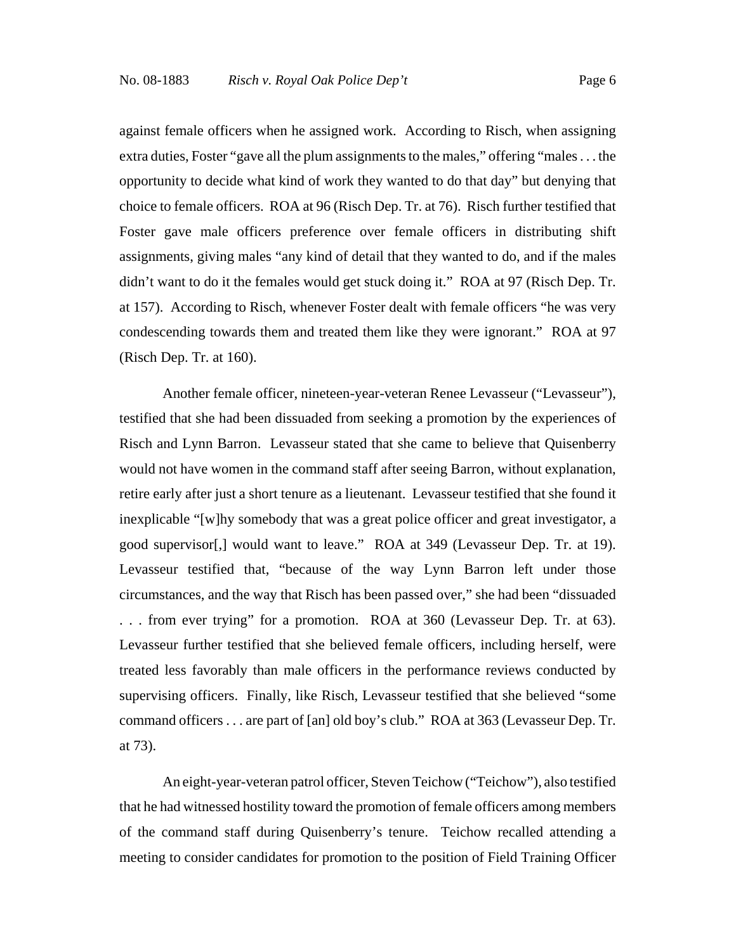against female officers when he assigned work. According to Risch, when assigning extra duties, Foster "gave all the plum assignments to the males," offering "males . . . the opportunity to decide what kind of work they wanted to do that day" but denying that choice to female officers. ROA at 96 (Risch Dep. Tr. at 76). Risch further testified that Foster gave male officers preference over female officers in distributing shift assignments, giving males "any kind of detail that they wanted to do, and if the males didn't want to do it the females would get stuck doing it." ROA at 97 (Risch Dep. Tr. at 157). According to Risch, whenever Foster dealt with female officers "he was very condescending towards them and treated them like they were ignorant." ROA at 97 (Risch Dep. Tr. at 160).

Another female officer, nineteen-year-veteran Renee Levasseur ("Levasseur"), testified that she had been dissuaded from seeking a promotion by the experiences of Risch and Lynn Barron. Levasseur stated that she came to believe that Quisenberry would not have women in the command staff after seeing Barron, without explanation, retire early after just a short tenure as a lieutenant. Levasseur testified that she found it inexplicable "[w]hy somebody that was a great police officer and great investigator, a good supervisor[,] would want to leave." ROA at 349 (Levasseur Dep. Tr. at 19). Levasseur testified that, "because of the way Lynn Barron left under those circumstances, and the way that Risch has been passed over," she had been "dissuaded . . . from ever trying" for a promotion. ROA at 360 (Levasseur Dep. Tr. at 63). Levasseur further testified that she believed female officers, including herself, were treated less favorably than male officers in the performance reviews conducted by supervising officers. Finally, like Risch, Levasseur testified that she believed "some command officers . . . are part of [an] old boy's club." ROA at 363 (Levasseur Dep. Tr. at 73).

An eight-year-veteran patrol officer, Steven Teichow ("Teichow"), also testified that he had witnessed hostility toward the promotion of female officers among members of the command staff during Quisenberry's tenure. Teichow recalled attending a meeting to consider candidates for promotion to the position of Field Training Officer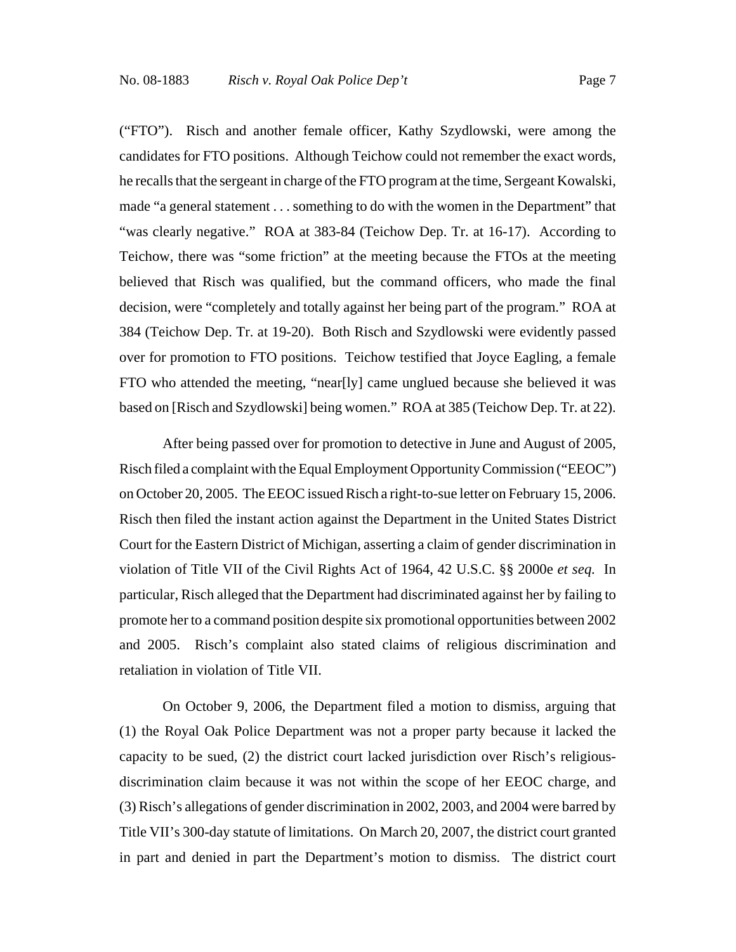("FTO"). Risch and another female officer, Kathy Szydlowski, were among the candidates for FTO positions. Although Teichow could not remember the exact words, he recalls that the sergeant in charge of the FTO program at the time, Sergeant Kowalski, made "a general statement . . . something to do with the women in the Department" that "was clearly negative." ROA at 383-84 (Teichow Dep. Tr. at 16-17). According to Teichow, there was "some friction" at the meeting because the FTOs at the meeting believed that Risch was qualified, but the command officers, who made the final decision, were "completely and totally against her being part of the program." ROA at 384 (Teichow Dep. Tr. at 19-20). Both Risch and Szydlowski were evidently passed over for promotion to FTO positions. Teichow testified that Joyce Eagling, a female FTO who attended the meeting, "near[ly] came unglued because she believed it was based on [Risch and Szydlowski] being women." ROA at 385 (Teichow Dep. Tr. at 22).

After being passed over for promotion to detective in June and August of 2005, Risch filed a complaint with the Equal Employment Opportunity Commission ("EEOC") on October 20, 2005. The EEOC issued Risch a right-to-sue letter on February 15, 2006. Risch then filed the instant action against the Department in the United States District Court for the Eastern District of Michigan, asserting a claim of gender discrimination in violation of Title VII of the Civil Rights Act of 1964, 42 U.S.C. §§ 2000e *et seq.* In particular, Risch alleged that the Department had discriminated against her by failing to promote her to a command position despite six promotional opportunities between 2002 and 2005. Risch's complaint also stated claims of religious discrimination and retaliation in violation of Title VII.

On October 9, 2006, the Department filed a motion to dismiss, arguing that (1) the Royal Oak Police Department was not a proper party because it lacked the capacity to be sued, (2) the district court lacked jurisdiction over Risch's religiousdiscrimination claim because it was not within the scope of her EEOC charge, and (3) Risch's allegations of gender discrimination in 2002, 2003, and 2004 were barred by Title VII's 300-day statute of limitations. On March 20, 2007, the district court granted in part and denied in part the Department's motion to dismiss. The district court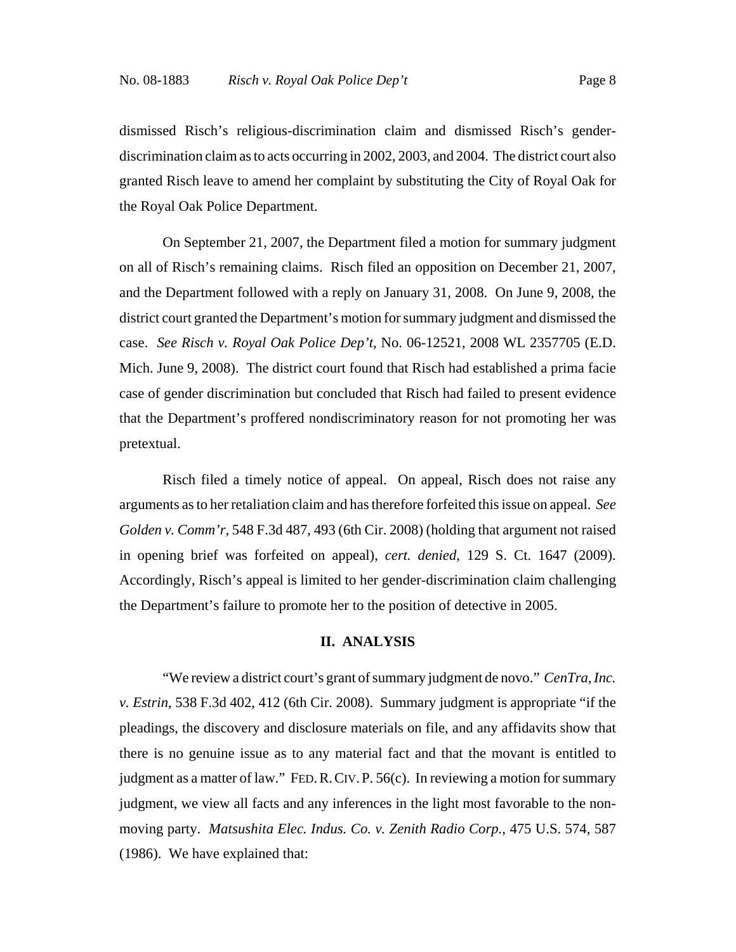dismissed Risch's religious-discrimination claim and dismissed Risch's genderdiscrimination claim as to acts occurring in 2002, 2003, and 2004. The district court also granted Risch leave to amend her complaint by substituting the City of Royal Oak for the Royal Oak Police Department.

On September 21, 2007, the Department filed a motion for summary judgment on all of Risch's remaining claims. Risch filed an opposition on December 21, 2007, and the Department followed with a reply on January 31, 2008. On June 9, 2008, the district court granted the Department's motion for summary judgment and dismissed the case. *See Risch v. Royal Oak Police Dep't*, No. 06-12521, 2008 WL 2357705 (E.D. Mich. June 9, 2008). The district court found that Risch had established a prima facie case of gender discrimination but concluded that Risch had failed to present evidence that the Department's proffered nondiscriminatory reason for not promoting her was pretextual.

Risch filed a timely notice of appeal. On appeal, Risch does not raise any arguments as to her retaliation claim and has therefore forfeited this issue on appeal. *See Golden v. Comm'r*, 548 F.3d 487, 493 (6th Cir. 2008) (holding that argument not raised in opening brief was forfeited on appeal), *cert. denied*, 129 S. Ct. 1647 (2009). Accordingly, Risch's appeal is limited to her gender-discrimination claim challenging the Department's failure to promote her to the position of detective in 2005.

### **II. ANALYSIS**

"We review a district court's grant of summary judgment de novo." *CenTra, Inc. v. Estrin*, 538 F.3d 402, 412 (6th Cir. 2008). Summary judgment is appropriate "if the pleadings, the discovery and disclosure materials on file, and any affidavits show that there is no genuine issue as to any material fact and that the movant is entitled to judgment as a matter of law." FED.R.CIV.P. 56(c). In reviewing a motion for summary judgment, we view all facts and any inferences in the light most favorable to the nonmoving party. *Matsushita Elec. Indus. Co. v. Zenith Radio Corp.*, 475 U.S. 574, 587 (1986). We have explained that: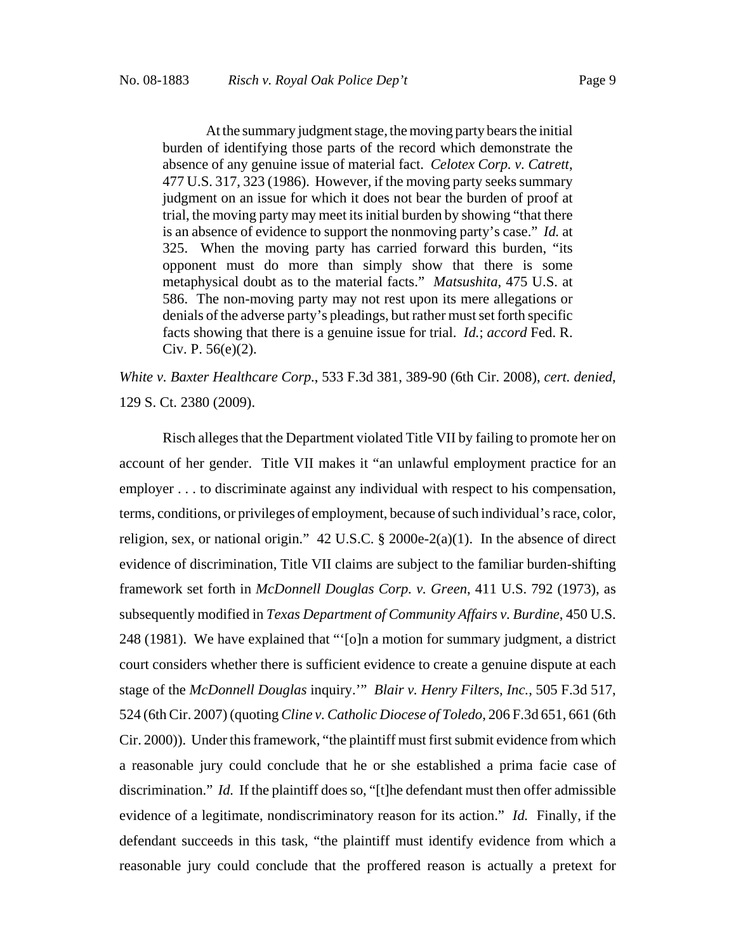At the summary judgment stage, the moving party bears the initial burden of identifying those parts of the record which demonstrate the absence of any genuine issue of material fact. *Celotex Corp. v. Catrett*, 477 U.S. 317, 323 (1986). However, if the moving party seeks summary judgment on an issue for which it does not bear the burden of proof at trial, the moving party may meet its initial burden by showing "that there is an absence of evidence to support the nonmoving party's case." *Id.* at 325. When the moving party has carried forward this burden, "its opponent must do more than simply show that there is some metaphysical doubt as to the material facts." *Matsushita*, 475 U.S. at 586. The non-moving party may not rest upon its mere allegations or denials of the adverse party's pleadings, but rather must set forth specific facts showing that there is a genuine issue for trial. *Id.*; *accord* Fed. R. Civ. P. 56(e)(2).

*White v. Baxter Healthcare Corp.*, 533 F.3d 381, 389-90 (6th Cir. 2008), *cert. denied*, 129 S. Ct. 2380 (2009).

Risch alleges that the Department violated Title VII by failing to promote her on account of her gender. Title VII makes it "an unlawful employment practice for an employer . . . to discriminate against any individual with respect to his compensation, terms, conditions, or privileges of employment, because of such individual's race, color, religion, sex, or national origin." 42 U.S.C. § 2000e-2(a)(1). In the absence of direct evidence of discrimination, Title VII claims are subject to the familiar burden-shifting framework set forth in *McDonnell Douglas Corp. v. Green*, 411 U.S. 792 (1973), as subsequently modified in *Texas Department of Community Affairs v. Burdine*, 450 U.S. 248 (1981). We have explained that "'[o]n a motion for summary judgment, a district court considers whether there is sufficient evidence to create a genuine dispute at each stage of the *McDonnell Douglas* inquiry.'" *Blair v. Henry Filters, Inc.*, 505 F.3d 517, 524 (6th Cir. 2007) (quoting *Cline v. Catholic Diocese of Toledo*, 206 F.3d 651, 661 (6th Cir. 2000)). Under this framework, "the plaintiff must first submit evidence from which a reasonable jury could conclude that he or she established a prima facie case of discrimination." *Id.* If the plaintiff does so, "[t]he defendant must then offer admissible evidence of a legitimate, nondiscriminatory reason for its action." *Id.* Finally, if the defendant succeeds in this task, "the plaintiff must identify evidence from which a reasonable jury could conclude that the proffered reason is actually a pretext for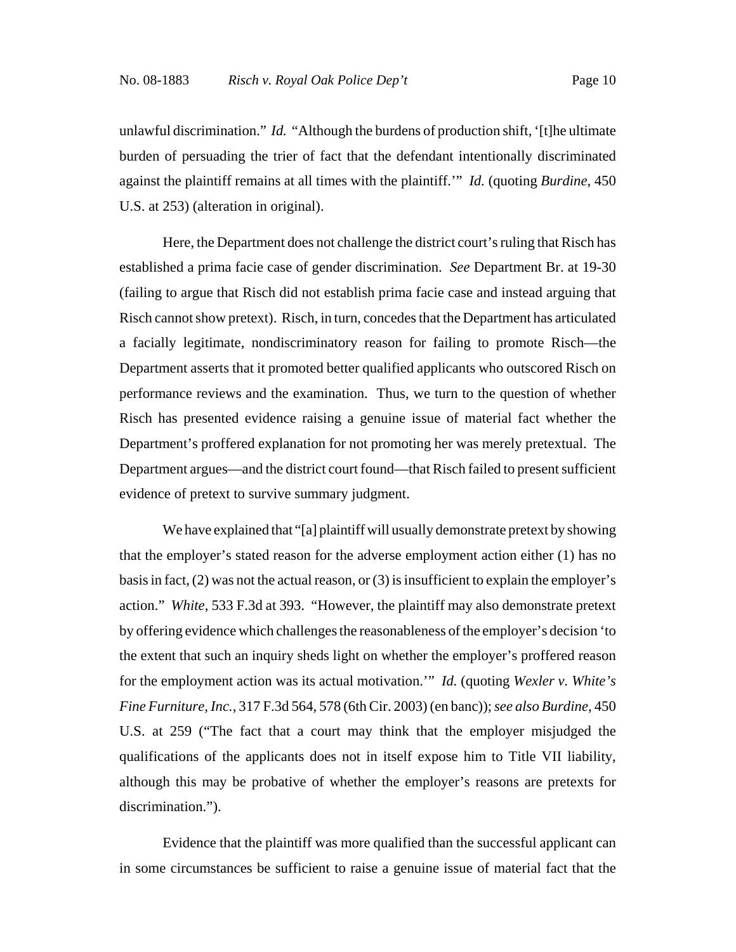unlawful discrimination." *Id.* "Although the burdens of production shift, '[t]he ultimate burden of persuading the trier of fact that the defendant intentionally discriminated against the plaintiff remains at all times with the plaintiff.'" *Id.* (quoting *Burdine*, 450 U.S. at 253) (alteration in original).

Here, the Department does not challenge the district court's ruling that Risch has established a prima facie case of gender discrimination. *See* Department Br. at 19-30 (failing to argue that Risch did not establish prima facie case and instead arguing that Risch cannot show pretext). Risch, in turn, concedes that the Department has articulated a facially legitimate, nondiscriminatory reason for failing to promote Risch—the Department asserts that it promoted better qualified applicants who outscored Risch on performance reviews and the examination. Thus, we turn to the question of whether Risch has presented evidence raising a genuine issue of material fact whether the Department's proffered explanation for not promoting her was merely pretextual. The Department argues—and the district court found—that Risch failed to present sufficient evidence of pretext to survive summary judgment.

We have explained that "[a] plaintiff will usually demonstrate pretext by showing that the employer's stated reason for the adverse employment action either (1) has no basis in fact, (2) was not the actual reason, or (3) is insufficient to explain the employer's action." *White*, 533 F.3d at 393. "However, the plaintiff may also demonstrate pretext by offering evidence which challenges the reasonableness of the employer's decision 'to the extent that such an inquiry sheds light on whether the employer's proffered reason for the employment action was its actual motivation.'" *Id.* (quoting *Wexler v. White's Fine Furniture, Inc.*, 317 F.3d 564, 578 (6th Cir. 2003) (en banc)); *see also Burdine*, 450 U.S. at 259 ("The fact that a court may think that the employer misjudged the qualifications of the applicants does not in itself expose him to Title VII liability, although this may be probative of whether the employer's reasons are pretexts for discrimination.").

Evidence that the plaintiff was more qualified than the successful applicant can in some circumstances be sufficient to raise a genuine issue of material fact that the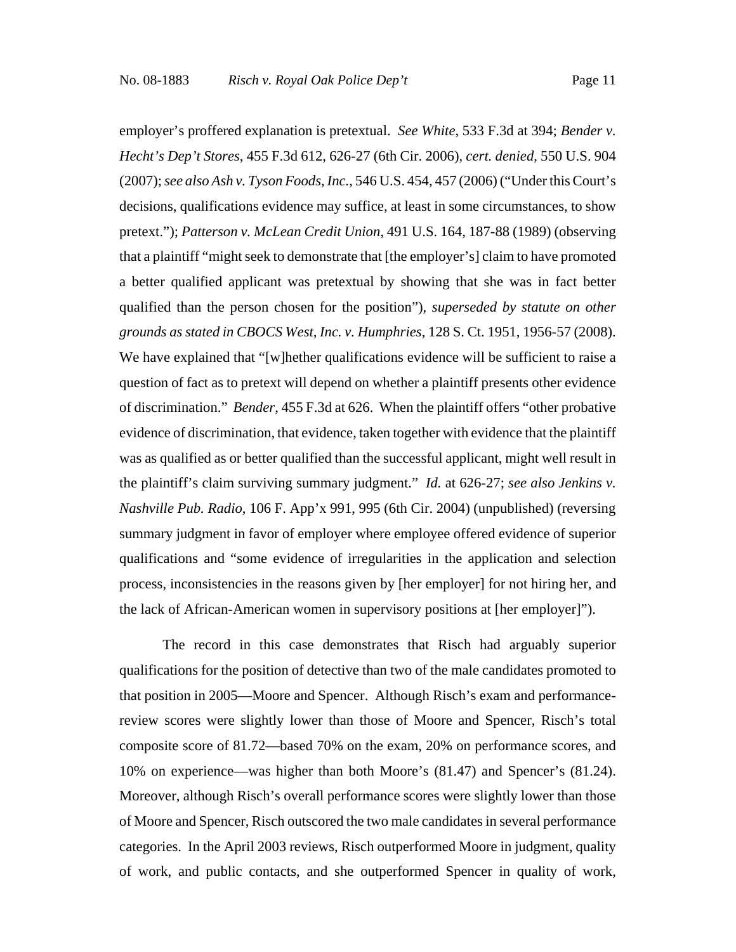employer's proffered explanation is pretextual. *See White*, 533 F.3d at 394; *Bender v. Hecht's Dep't Stores*, 455 F.3d 612, 626-27 (6th Cir. 2006), *cert. denied*, 550 U.S. 904 (2007); *see also Ash v. Tyson Foods, Inc.*, 546 U.S. 454, 457 (2006) ("Under this Court's decisions, qualifications evidence may suffice, at least in some circumstances, to show pretext."); *Patterson v. McLean Credit Union*, 491 U.S. 164, 187-88 (1989) (observing that a plaintiff "might seek to demonstrate that [the employer's] claim to have promoted a better qualified applicant was pretextual by showing that she was in fact better qualified than the person chosen for the position"), *superseded by statute on other grounds as stated in CBOCS West, Inc. v. Humphries*, 128 S. Ct. 1951, 1956-57 (2008). We have explained that "[w]hether qualifications evidence will be sufficient to raise a question of fact as to pretext will depend on whether a plaintiff presents other evidence of discrimination." *Bender*, 455 F.3d at 626. When the plaintiff offers "other probative evidence of discrimination, that evidence, taken together with evidence that the plaintiff was as qualified as or better qualified than the successful applicant, might well result in the plaintiff's claim surviving summary judgment." *Id.* at 626-27; *see also Jenkins v. Nashville Pub. Radio*, 106 F. App'x 991, 995 (6th Cir. 2004) (unpublished) (reversing summary judgment in favor of employer where employee offered evidence of superior qualifications and "some evidence of irregularities in the application and selection process, inconsistencies in the reasons given by [her employer] for not hiring her, and the lack of African-American women in supervisory positions at [her employer]").

The record in this case demonstrates that Risch had arguably superior qualifications for the position of detective than two of the male candidates promoted to that position in 2005—Moore and Spencer. Although Risch's exam and performancereview scores were slightly lower than those of Moore and Spencer, Risch's total composite score of 81.72—based 70% on the exam, 20% on performance scores, and 10% on experience—was higher than both Moore's (81.47) and Spencer's (81.24). Moreover, although Risch's overall performance scores were slightly lower than those of Moore and Spencer, Risch outscored the two male candidates in several performance categories. In the April 2003 reviews, Risch outperformed Moore in judgment, quality of work, and public contacts, and she outperformed Spencer in quality of work,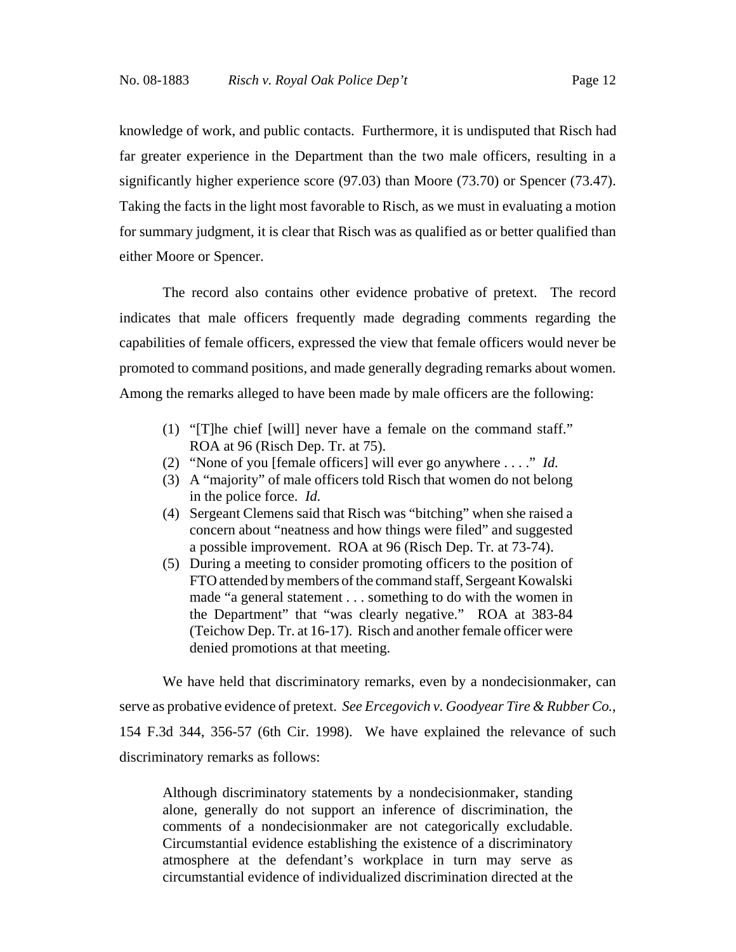knowledge of work, and public contacts. Furthermore, it is undisputed that Risch had far greater experience in the Department than the two male officers, resulting in a significantly higher experience score (97.03) than Moore (73.70) or Spencer (73.47). Taking the facts in the light most favorable to Risch, as we must in evaluating a motion for summary judgment, it is clear that Risch was as qualified as or better qualified than either Moore or Spencer.

The record also contains other evidence probative of pretext. The record indicates that male officers frequently made degrading comments regarding the capabilities of female officers, expressed the view that female officers would never be promoted to command positions, and made generally degrading remarks about women. Among the remarks alleged to have been made by male officers are the following:

- (1) "[T]he chief [will] never have a female on the command staff." ROA at 96 (Risch Dep. Tr. at 75).
- (2) "None of you [female officers] will ever go anywhere . . . ." *Id.*
- (3) A "majority" of male officers told Risch that women do not belong in the police force. *Id.*
- (4) Sergeant Clemens said that Risch was "bitching" when she raised a concern about "neatness and how things were filed" and suggested a possible improvement. ROA at 96 (Risch Dep. Tr. at 73-74).
- (5) During a meeting to consider promoting officers to the position of FTO attended by members of the command staff, Sergeant Kowalski made "a general statement . . . something to do with the women in the Department" that "was clearly negative." ROA at 383-84 (Teichow Dep. Tr. at 16-17). Risch and another female officer were denied promotions at that meeting.

We have held that discriminatory remarks, even by a nondecisionmaker, can serve as probative evidence of pretext. *See Ercegovich v. Goodyear Tire & Rubber Co.*, 154 F.3d 344, 356-57 (6th Cir. 1998). We have explained the relevance of such discriminatory remarks as follows:

Although discriminatory statements by a nondecisionmaker, standing alone, generally do not support an inference of discrimination, the comments of a nondecisionmaker are not categorically excludable. Circumstantial evidence establishing the existence of a discriminatory atmosphere at the defendant's workplace in turn may serve as circumstantial evidence of individualized discrimination directed at the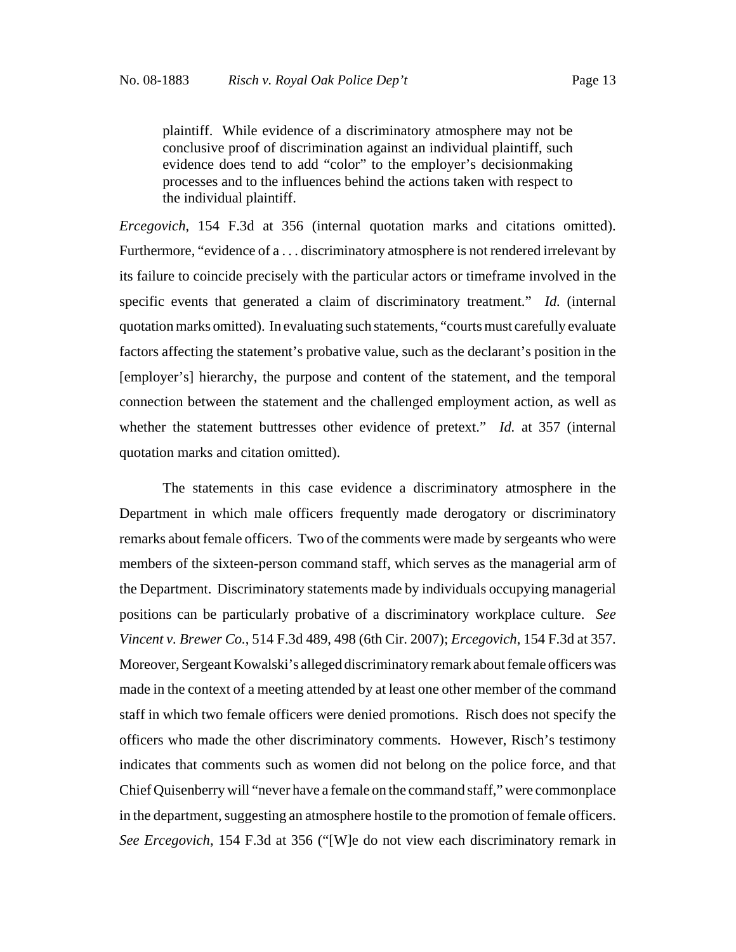plaintiff. While evidence of a discriminatory atmosphere may not be conclusive proof of discrimination against an individual plaintiff, such evidence does tend to add "color" to the employer's decisionmaking processes and to the influences behind the actions taken with respect to the individual plaintiff.

*Ercegovich*, 154 F.3d at 356 (internal quotation marks and citations omitted). Furthermore, "evidence of a . . . discriminatory atmosphere is not rendered irrelevant by its failure to coincide precisely with the particular actors or timeframe involved in the specific events that generated a claim of discriminatory treatment." *Id.* (internal quotation marks omitted). In evaluating such statements, "courts must carefully evaluate factors affecting the statement's probative value, such as the declarant's position in the [employer's] hierarchy, the purpose and content of the statement, and the temporal connection between the statement and the challenged employment action, as well as whether the statement buttresses other evidence of pretext." *Id.* at 357 (internal quotation marks and citation omitted).

The statements in this case evidence a discriminatory atmosphere in the Department in which male officers frequently made derogatory or discriminatory remarks about female officers. Two of the comments were made by sergeants who were members of the sixteen-person command staff, which serves as the managerial arm of the Department. Discriminatory statements made by individuals occupying managerial positions can be particularly probative of a discriminatory workplace culture. *See Vincent v. Brewer Co.*, 514 F.3d 489, 498 (6th Cir. 2007); *Ercegovich*, 154 F.3d at 357. Moreover, Sergeant Kowalski's alleged discriminatory remark about female officers was made in the context of a meeting attended by at least one other member of the command staff in which two female officers were denied promotions. Risch does not specify the officers who made the other discriminatory comments. However, Risch's testimony indicates that comments such as women did not belong on the police force, and that Chief Quisenberry will "never have a female on the command staff," were commonplace in the department, suggesting an atmosphere hostile to the promotion of female officers. *See Ercegovich*, 154 F.3d at 356 ("[W]e do not view each discriminatory remark in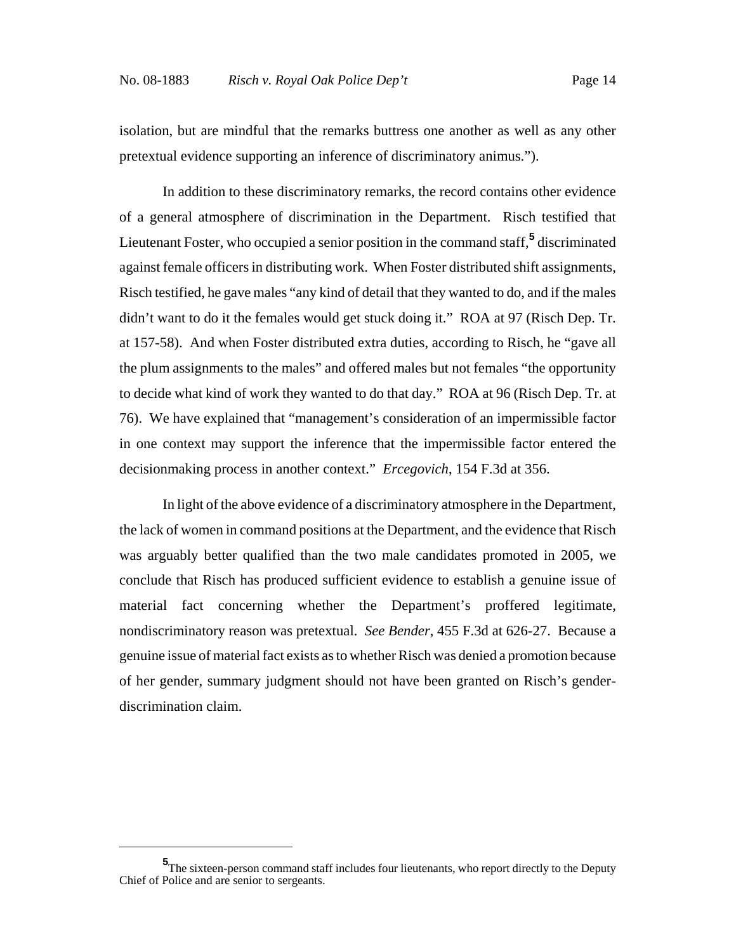isolation, but are mindful that the remarks buttress one another as well as any other pretextual evidence supporting an inference of discriminatory animus.").

In addition to these discriminatory remarks, the record contains other evidence of a general atmosphere of discrimination in the Department. Risch testified that Lieutenant Foster, who occupied a senior position in the command staff,**<sup>5</sup>** discriminated against female officers in distributing work. When Foster distributed shift assignments, Risch testified, he gave males "any kind of detail that they wanted to do, and if the males didn't want to do it the females would get stuck doing it." ROA at 97 (Risch Dep. Tr. at 157-58). And when Foster distributed extra duties, according to Risch, he "gave all the plum assignments to the males" and offered males but not females "the opportunity to decide what kind of work they wanted to do that day." ROA at 96 (Risch Dep. Tr. at 76). We have explained that "management's consideration of an impermissible factor in one context may support the inference that the impermissible factor entered the decisionmaking process in another context." *Ercegovich*, 154 F.3d at 356.

In light of the above evidence of a discriminatory atmosphere in the Department, the lack of women in command positions at the Department, and the evidence that Risch was arguably better qualified than the two male candidates promoted in 2005, we conclude that Risch has produced sufficient evidence to establish a genuine issue of material fact concerning whether the Department's proffered legitimate, nondiscriminatory reason was pretextual. *See Bender*, 455 F.3d at 626-27. Because a genuine issue of material fact exists as to whether Risch was denied a promotion because of her gender, summary judgment should not have been granted on Risch's genderdiscrimination claim.

**<sup>5</sup>**<br>The sixteen-person command staff includes four lieutenants, who report directly to the Deputy Chief of Police and are senior to sergeants.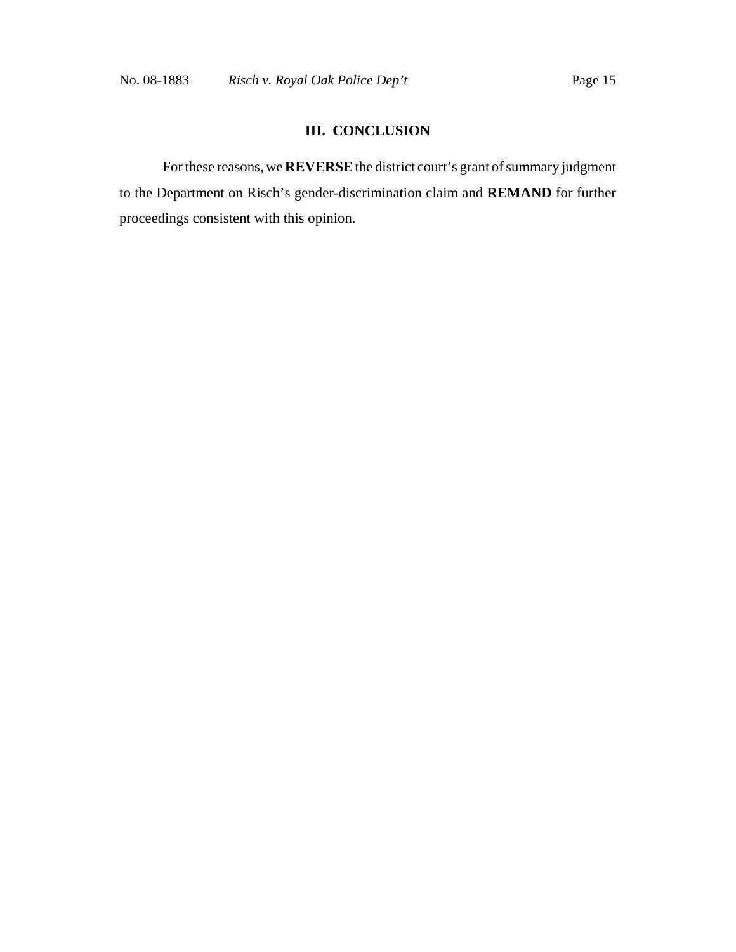# **III. CONCLUSION**

For these reasons, we **REVERSE** the district court's grant of summary judgment to the Department on Risch's gender-discrimination claim and **REMAND** for further proceedings consistent with this opinion.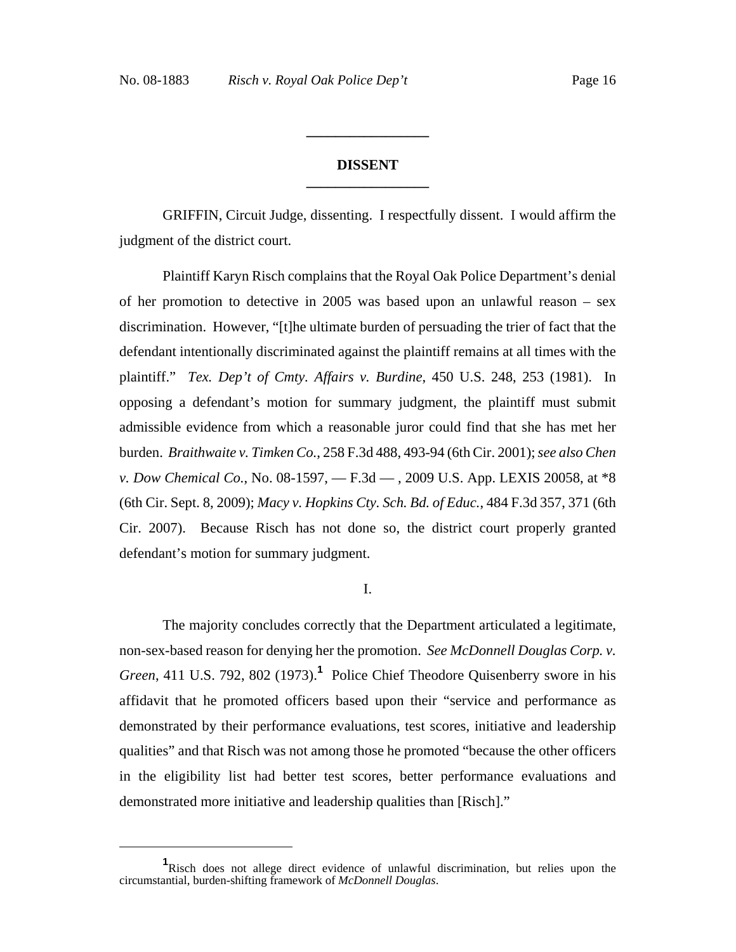## **DISSENT \_\_\_\_\_\_\_\_\_\_\_\_\_\_\_\_\_**

**\_\_\_\_\_\_\_\_\_\_\_\_\_\_\_\_\_**

GRIFFIN, Circuit Judge, dissenting. I respectfully dissent. I would affirm the judgment of the district court.

Plaintiff Karyn Risch complains that the Royal Oak Police Department's denial of her promotion to detective in 2005 was based upon an unlawful reason – sex discrimination. However, "[t]he ultimate burden of persuading the trier of fact that the defendant intentionally discriminated against the plaintiff remains at all times with the plaintiff." *Tex. Dep't of Cmty. Affairs v. Burdine*, 450 U.S. 248, 253 (1981). In opposing a defendant's motion for summary judgment, the plaintiff must submit admissible evidence from which a reasonable juror could find that she has met her burden. *Braithwaite v. Timken Co.*, 258 F.3d 488, 493-94 (6th Cir. 2001); *see also Chen v. Dow Chemical Co.*, No. 08-1597, — F.3d — , 2009 U.S. App. LEXIS 20058, at \*8 (6th Cir. Sept. 8, 2009); *Macy v. Hopkins Cty. Sch. Bd. of Educ.*, 484 F.3d 357, 371 (6th Cir. 2007). Because Risch has not done so, the district court properly granted defendant's motion for summary judgment.

I.

The majority concludes correctly that the Department articulated a legitimate, non-sex-based reason for denying her the promotion. *See McDonnell Douglas Corp. v. Green*, 411 U.S. 792, 802 (1973).**<sup>1</sup>** Police Chief Theodore Quisenberry swore in his affidavit that he promoted officers based upon their "service and performance as demonstrated by their performance evaluations, test scores, initiative and leadership qualities" and that Risch was not among those he promoted "because the other officers in the eligibility list had better test scores, better performance evaluations and demonstrated more initiative and leadership qualities than [Risch]."

**<sup>1</sup>** Risch does not allege direct evidence of unlawful discrimination, but relies upon the circumstantial, burden-shifting framework of *McDonnell Douglas*.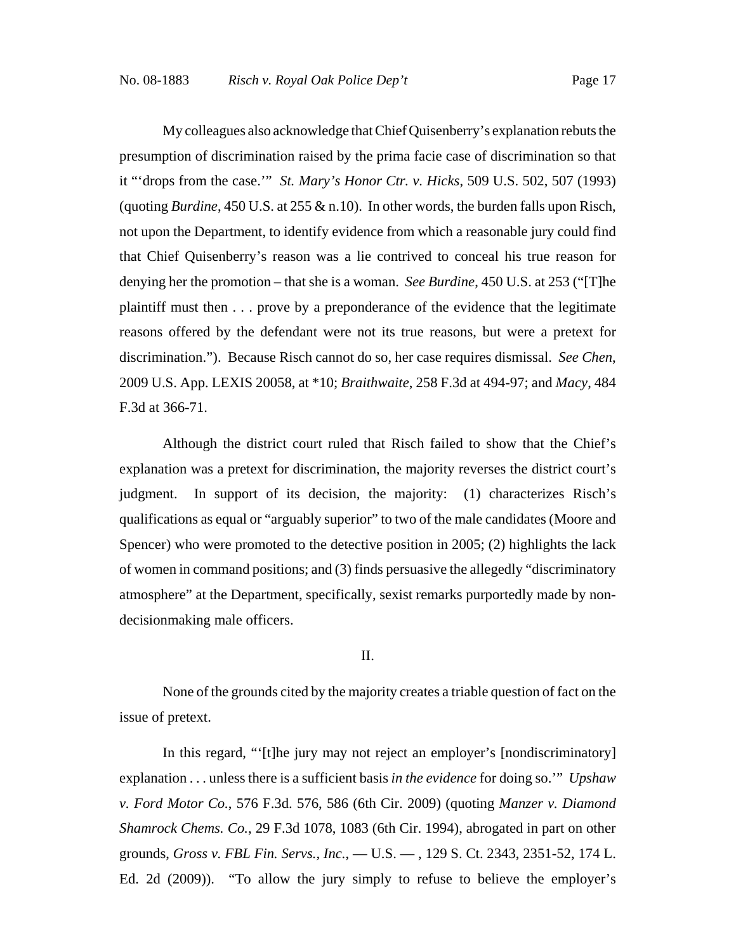My colleagues also acknowledge that Chief Quisenberry's explanation rebuts the presumption of discrimination raised by the prima facie case of discrimination so that it "'drops from the case.'" *St. Mary's Honor Ctr. v. Hicks*, 509 U.S. 502, 507 (1993) (quoting *Burdine*, 450 U.S. at 255 & n.10). In other words, the burden falls upon Risch, not upon the Department, to identify evidence from which a reasonable jury could find that Chief Quisenberry's reason was a lie contrived to conceal his true reason for denying her the promotion – that she is a woman. *See Burdine*, 450 U.S. at 253 ("[T]he plaintiff must then . . . prove by a preponderance of the evidence that the legitimate reasons offered by the defendant were not its true reasons, but were a pretext for discrimination."). Because Risch cannot do so, her case requires dismissal. *See Chen*, 2009 U.S. App. LEXIS 20058, at \*10; *Braithwaite*, 258 F.3d at 494-97; and *Macy*, 484 F.3d at 366-71.

Although the district court ruled that Risch failed to show that the Chief's explanation was a pretext for discrimination, the majority reverses the district court's judgment. In support of its decision, the majority: (1) characterizes Risch's qualifications as equal or "arguably superior" to two of the male candidates (Moore and Spencer) who were promoted to the detective position in 2005; (2) highlights the lack of women in command positions; and (3) finds persuasive the allegedly "discriminatory atmosphere" at the Department, specifically, sexist remarks purportedly made by nondecisionmaking male officers.

### II.

None of the grounds cited by the majority creates a triable question of fact on the issue of pretext.

In this regard, "'[t]he jury may not reject an employer's [nondiscriminatory] explanation . . . unless there is a sufficient basis *in the evidence* for doing so.'" *Upshaw v. Ford Motor Co.*, 576 F.3d. 576, 586 (6th Cir. 2009) (quoting *Manzer v. Diamond Shamrock Chems. Co.*, 29 F.3d 1078, 1083 (6th Cir. 1994), abrogated in part on other grounds, *Gross v. FBL Fin. Servs., Inc.*, — U.S. — , 129 S. Ct. 2343, 2351-52, 174 L. Ed. 2d (2009)). "To allow the jury simply to refuse to believe the employer's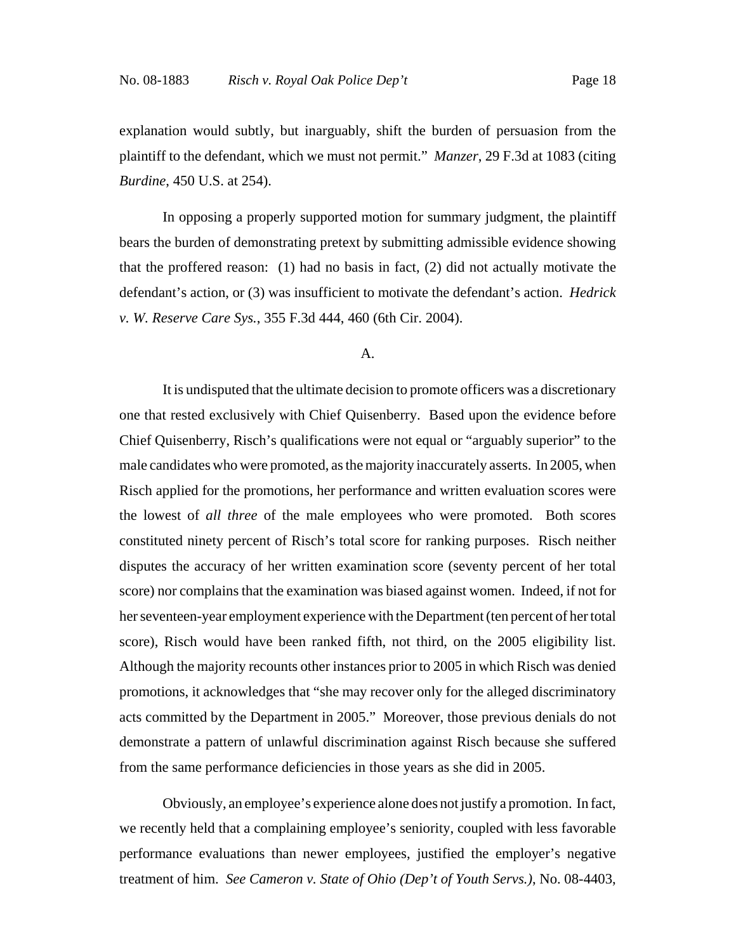explanation would subtly, but inarguably, shift the burden of persuasion from the plaintiff to the defendant, which we must not permit." *Manzer*, 29 F.3d at 1083 (citing *Burdine*, 450 U.S. at 254).

In opposing a properly supported motion for summary judgment, the plaintiff bears the burden of demonstrating pretext by submitting admissible evidence showing that the proffered reason: (1) had no basis in fact, (2) did not actually motivate the defendant's action, or (3) was insufficient to motivate the defendant's action. *Hedrick v. W. Reserve Care Sys.*, 355 F.3d 444, 460 (6th Cir. 2004).

#### A.

It is undisputed that the ultimate decision to promote officers was a discretionary one that rested exclusively with Chief Quisenberry. Based upon the evidence before Chief Quisenberry, Risch's qualifications were not equal or "arguably superior" to the male candidates who were promoted, as the majority inaccurately asserts. In 2005, when Risch applied for the promotions, her performance and written evaluation scores were the lowest of *all three* of the male employees who were promoted. Both scores constituted ninety percent of Risch's total score for ranking purposes. Risch neither disputes the accuracy of her written examination score (seventy percent of her total score) nor complains that the examination was biased against women. Indeed, if not for her seventeen-year employment experience with the Department (ten percent of her total score), Risch would have been ranked fifth, not third, on the 2005 eligibility list. Although the majority recounts other instances prior to 2005 in which Risch was denied promotions, it acknowledges that "she may recover only for the alleged discriminatory acts committed by the Department in 2005." Moreover, those previous denials do not demonstrate a pattern of unlawful discrimination against Risch because she suffered from the same performance deficiencies in those years as she did in 2005.

Obviously, an employee's experience alone does not justify a promotion. In fact, we recently held that a complaining employee's seniority, coupled with less favorable performance evaluations than newer employees, justified the employer's negative treatment of him. *See Cameron v. State of Ohio (Dep't of Youth Servs.)*, No. 08-4403,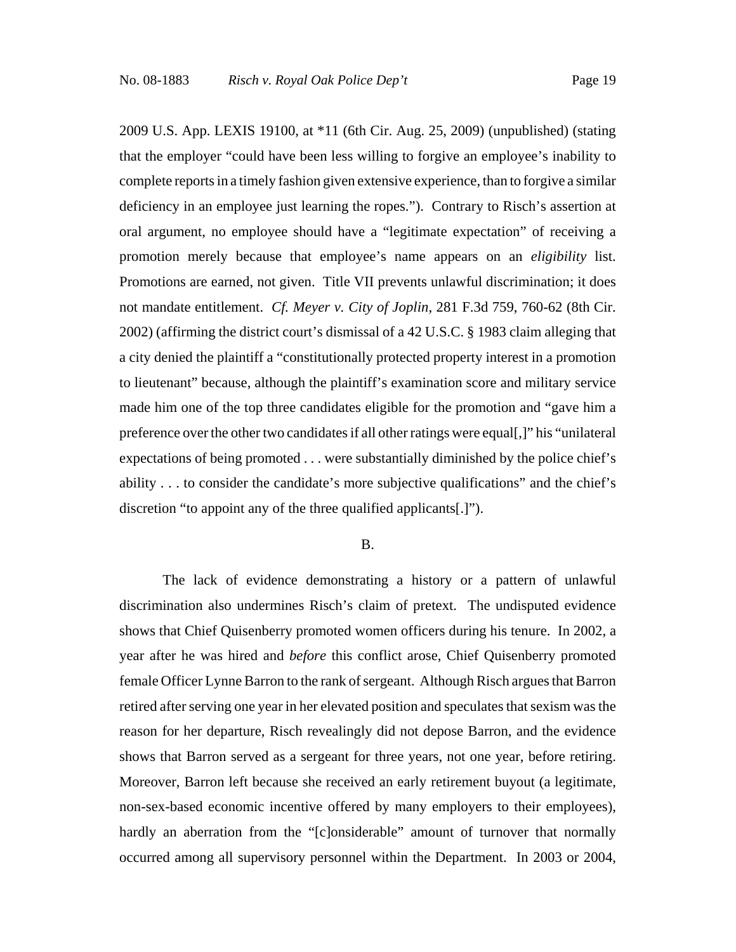2009 U.S. App. LEXIS 19100, at \*11 (6th Cir. Aug. 25, 2009) (unpublished) (stating that the employer "could have been less willing to forgive an employee's inability to complete reports in a timely fashion given extensive experience, than to forgive a similar deficiency in an employee just learning the ropes."). Contrary to Risch's assertion at oral argument, no employee should have a "legitimate expectation" of receiving a promotion merely because that employee's name appears on an *eligibility* list. Promotions are earned, not given. Title VII prevents unlawful discrimination; it does not mandate entitlement. *Cf. Meyer v. City of Joplin*, 281 F.3d 759, 760-62 (8th Cir. 2002) (affirming the district court's dismissal of a 42 U.S.C. § 1983 claim alleging that a city denied the plaintiff a "constitutionally protected property interest in a promotion to lieutenant" because, although the plaintiff's examination score and military service made him one of the top three candidates eligible for the promotion and "gave him a preference over the other two candidates if all other ratings were equal[,]" his "unilateral expectations of being promoted . . . were substantially diminished by the police chief's ability . . . to consider the candidate's more subjective qualifications" and the chief's discretion "to appoint any of the three qualified applicants[.]").

### B.

The lack of evidence demonstrating a history or a pattern of unlawful discrimination also undermines Risch's claim of pretext. The undisputed evidence shows that Chief Quisenberry promoted women officers during his tenure. In 2002, a year after he was hired and *before* this conflict arose, Chief Quisenberry promoted female Officer Lynne Barron to the rank of sergeant. Although Risch argues that Barron retired after serving one year in her elevated position and speculates that sexism was the reason for her departure, Risch revealingly did not depose Barron, and the evidence shows that Barron served as a sergeant for three years, not one year, before retiring. Moreover, Barron left because she received an early retirement buyout (a legitimate, non-sex-based economic incentive offered by many employers to their employees), hardly an aberration from the "[c]onsiderable" amount of turnover that normally occurred among all supervisory personnel within the Department. In 2003 or 2004,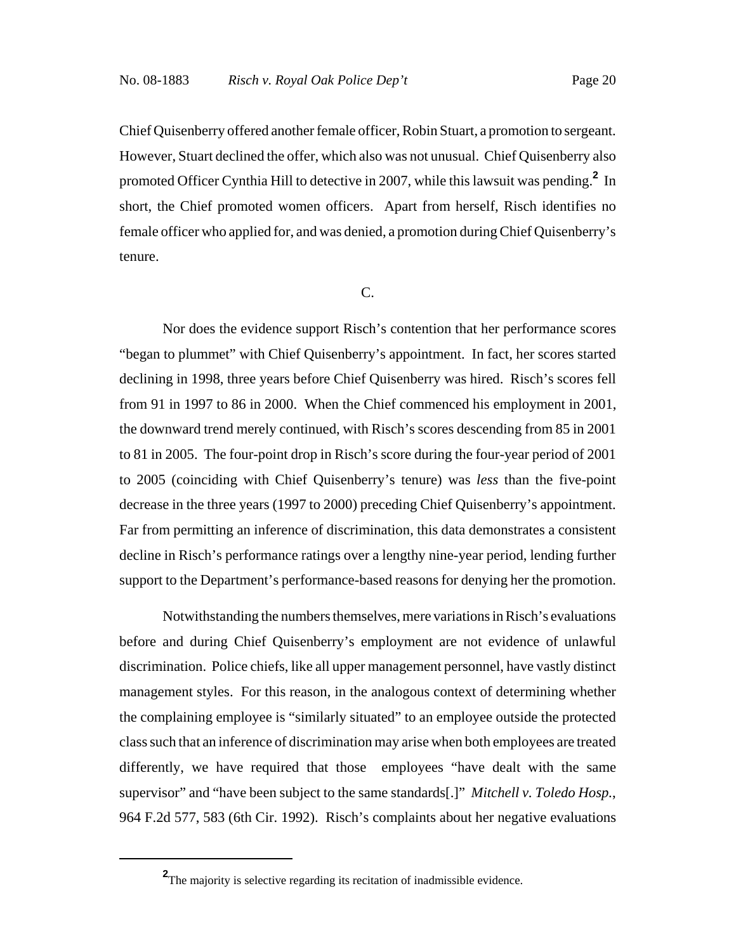Chief Quisenberry offered another female officer, Robin Stuart, a promotion to sergeant. However, Stuart declined the offer, which also was not unusual. Chief Quisenberry also promoted Officer Cynthia Hill to detective in 2007, while this lawsuit was pending.**<sup>2</sup>** In short, the Chief promoted women officers. Apart from herself, Risch identifies no female officer who applied for, and was denied, a promotion during Chief Quisenberry's tenure.

C.

Nor does the evidence support Risch's contention that her performance scores "began to plummet" with Chief Quisenberry's appointment. In fact, her scores started declining in 1998, three years before Chief Quisenberry was hired. Risch's scores fell from 91 in 1997 to 86 in 2000. When the Chief commenced his employment in 2001, the downward trend merely continued, with Risch's scores descending from 85 in 2001 to 81 in 2005. The four-point drop in Risch's score during the four-year period of 2001 to 2005 (coinciding with Chief Quisenberry's tenure) was *less* than the five-point decrease in the three years (1997 to 2000) preceding Chief Quisenberry's appointment. Far from permitting an inference of discrimination, this data demonstrates a consistent decline in Risch's performance ratings over a lengthy nine-year period, lending further support to the Department's performance-based reasons for denying her the promotion.

Notwithstanding the numbers themselves, mere variations in Risch's evaluations before and during Chief Quisenberry's employment are not evidence of unlawful discrimination. Police chiefs, like all upper management personnel, have vastly distinct management styles. For this reason, in the analogous context of determining whether the complaining employee is "similarly situated" to an employee outside the protected class such that an inference of discrimination may arise when both employees are treated differently, we have required that those employees "have dealt with the same supervisor" and "have been subject to the same standards[.]" *Mitchell v. Toledo Hosp.*, 964 F.2d 577, 583 (6th Cir. 1992). Risch's complaints about her negative evaluations

**<sup>2</sup>** The majority is selective regarding its recitation of inadmissible evidence.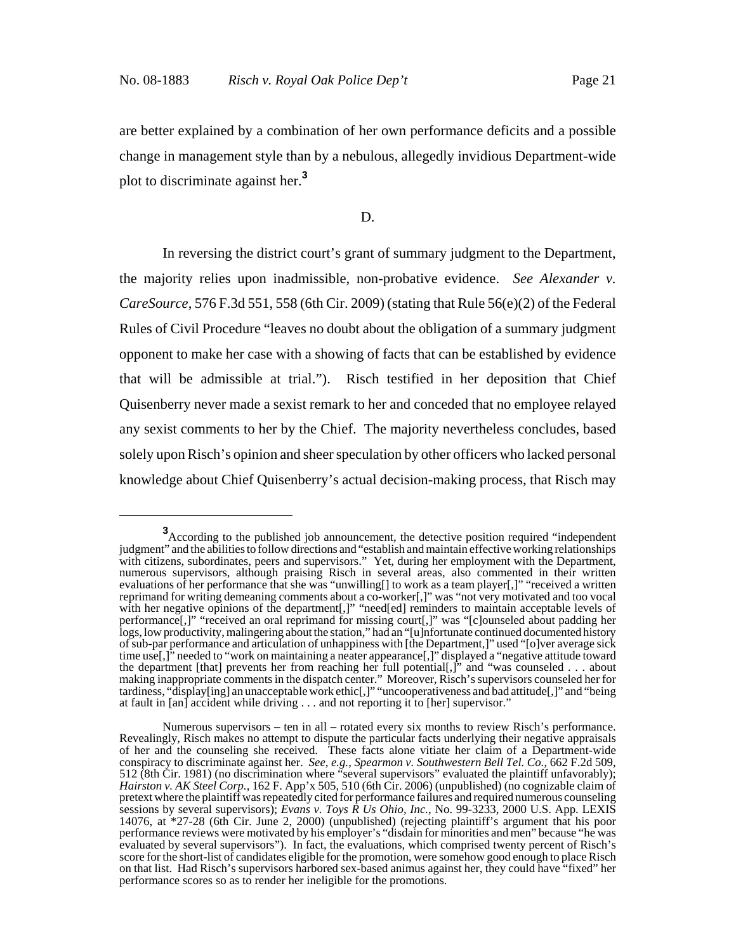are better explained by a combination of her own performance deficits and a possible change in management style than by a nebulous, allegedly invidious Department-wide plot to discriminate against her.**<sup>3</sup>**

D.

In reversing the district court's grant of summary judgment to the Department, the majority relies upon inadmissible, non-probative evidence. *See Alexander v. CareSource*, 576 F.3d 551, 558 (6th Cir. 2009) (stating that Rule 56(e)(2) of the Federal Rules of Civil Procedure "leaves no doubt about the obligation of a summary judgment opponent to make her case with a showing of facts that can be established by evidence that will be admissible at trial."). Risch testified in her deposition that Chief Quisenberry never made a sexist remark to her and conceded that no employee relayed any sexist comments to her by the Chief. The majority nevertheless concludes, based solely upon Risch's opinion and sheer speculation by other officers who lacked personal knowledge about Chief Quisenberry's actual decision-making process, that Risch may

**<sup>3</sup>**<br>According to the published job announcement, the detective position required "independent judgment" and the abilities to follow directions and "establish and maintain effective working relationships with citizens, subordinates, peers and supervisors." Yet, during her employment with the Department, numerous supervisors, although praising Risch in several areas, also commented in their written evaluations of her performance that she was "unwilling[] to work as a team player[,]" "received a written reprimand for writing demeaning comments about a co-worker[,]" was "not very motivated and too vocal with her negative opinions of the department[,]" "need[ed] reminders to maintain acceptable levels of performance[,]" "received an oral reprimand for missing court[,]" was "[c]ounseled about padding her logs, low productivity, malingering about the station," had an "[u]nfortunate continued documented history of sub-par performance and articulation of unhappiness with [the Department,]" used "[o]ver average sick time use[,]" needed to "work on maintaining a neater appearance[,]" displayed a "negative attitude toward the department [that] prevents her from reaching her full potential[,]" and "was counseled . . . about making inappropriate comments in the dispatch center." Moreover, Risch's supervisors counseled her for tardiness, "display[ing] an unacceptable work ethic[,]" "uncooperativeness and bad attitude[,]" and "being at fault in [an] accident while driving . . . and not reporting it to [her] supervisor."

Numerous supervisors – ten in all – rotated every six months to review Risch's performance. Revealingly, Risch makes no attempt to dispute the particular facts underlying their negative appraisals of her and the counseling she received. These facts alone vitiate her claim of a Department-wide conspiracy to discriminate against her. *See, e.g., Spearmon v. Southwestern Bell Tel. Co.*, 662 F.2d 509, 512 (8th Cir. 1981) (no discrimination where "several supervisors" evaluated the plaintiff unfavorably); *Hairston v. AK Steel Corp.*, 162 F. App'x 505, 510 (6th Cir. 2006) (unpublished) (no cognizable claim of pretext where the plaintiff was repeatedly cited for performance failures and required numerous counseling sessions by several supervisors); *Evans v. Toys R Us Ohio, Inc.*, No. 99-3233, 2000 U.S. App. LEXIS 14076, at \*27-28 (6th Cir. June 2, 2000) (unpublished) (rejecting plaintiff's argument that his poor performance reviews were motivated by his employer's "disdain for minorities and men" because "he was evaluated by several supervisors"). In fact, the evaluations, which comprised twenty percent of Risch's score for the short-list of candidates eligible for the promotion, were somehow good enough to place Risch on that list. Had Risch's supervisors harbored sex-based animus against her, they could have "fixed" her performance scores so as to render her ineligible for the promotions.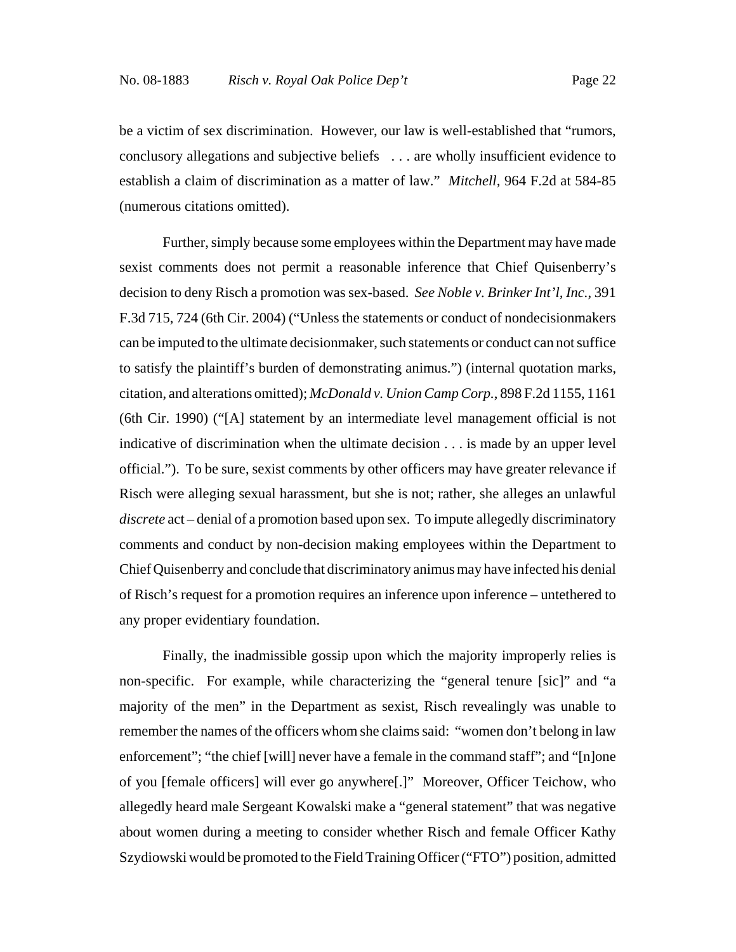be a victim of sex discrimination. However, our law is well-established that "rumors, conclusory allegations and subjective beliefs . . . are wholly insufficient evidence to establish a claim of discrimination as a matter of law." *Mitchell,* 964 F.2d at 584-85 (numerous citations omitted).

Further, simply because some employees within the Department may have made sexist comments does not permit a reasonable inference that Chief Quisenberry's decision to deny Risch a promotion was sex-based. *See Noble v. Brinker Int'l, Inc.*, 391 F.3d 715, 724 (6th Cir. 2004) ("Unless the statements or conduct of nondecisionmakers can be imputed to the ultimate decisionmaker, such statements or conduct can not suffice to satisfy the plaintiff's burden of demonstrating animus.") (internal quotation marks, citation, and alterations omitted); *McDonald v. Union Camp Corp.*, 898 F.2d 1155, 1161 (6th Cir. 1990) ("[A] statement by an intermediate level management official is not indicative of discrimination when the ultimate decision . . . is made by an upper level official."). To be sure, sexist comments by other officers may have greater relevance if Risch were alleging sexual harassment, but she is not; rather, she alleges an unlawful *discrete* act – denial of a promotion based upon sex. To impute allegedly discriminatory comments and conduct by non-decision making employees within the Department to Chief Quisenberry and conclude that discriminatory animus may have infected his denial of Risch's request for a promotion requires an inference upon inference – untethered to any proper evidentiary foundation.

Finally, the inadmissible gossip upon which the majority improperly relies is non-specific. For example, while characterizing the "general tenure [sic]" and "a majority of the men" in the Department as sexist, Risch revealingly was unable to remember the names of the officers whom she claims said: "women don't belong in law enforcement"; "the chief [will] never have a female in the command staff"; and "[n]one of you [female officers] will ever go anywhere[.]" Moreover, Officer Teichow, who allegedly heard male Sergeant Kowalski make a "general statement" that was negative about women during a meeting to consider whether Risch and female Officer Kathy Szydiowski would be promoted to the Field Training Officer ("FTO") position, admitted